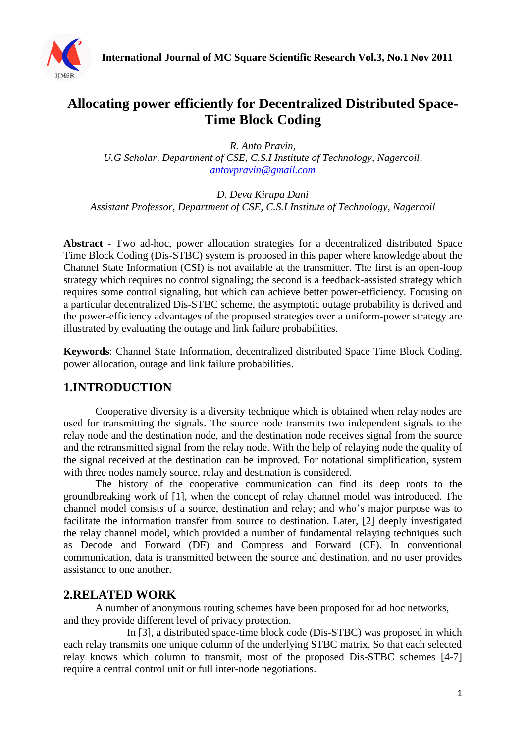

## **Allocating power efficiently for Decentralized Distributed Space-Time Block Coding**

*R. Anto Pravin,* 

*U.G Scholar, Department of CSE, C.S.I Institute of Technology, Nagercoil, [antovpravin@gmail.com](mailto:antovpravin@gmail.com)*

*D. Deva Kirupa Dani Assistant Professor, Department of CSE, C.S.I Institute of Technology, Nagercoil*

**Abstract -** Two ad-hoc, power allocation strategies for a decentralized distributed Space Time Block Coding (Dis-STBC) system is proposed in this paper where knowledge about the Channel State Information (CSI) is not available at the transmitter. The first is an open-loop strategy which requires no control signaling; the second is a feedback-assisted strategy which requires some control signaling, but which can achieve better power-efficiency. Focusing on a particular decentralized Dis-STBC scheme, the asymptotic outage probability is derived and the power-efficiency advantages of the proposed strategies over a uniform-power strategy are illustrated by evaluating the outage and link failure probabilities.

**Keywords**: Channel State Information, decentralized distributed Space Time Block Coding, power allocation, outage and link failure probabilities.

## **1.INTRODUCTION**

Cooperative diversity is a diversity technique which is obtained when relay nodes are used for transmitting the signals. The source node transmits two independent signals to the relay node and the destination node, and the destination node receives signal from the source and the retransmitted signal from the relay node. With the help of relaying node the quality of the signal received at the destination can be improved. For notational simplification, system with three nodes namely source, relay and destination is considered.

The history of the cooperative communication can find its deep roots to the groundbreaking work of [1], when the concept of relay channel model was introduced. The channel model consists of a source, destination and relay; and who's major purpose was to facilitate the information transfer from source to destination. Later, [2] deeply investigated the relay channel model, which provided a number of fundamental relaying techniques such as Decode and Forward (DF) and Compress and Forward (CF). In conventional communication, data is transmitted between the source and destination, and no user provides assistance to one another.

#### **2.RELATED WORK**

A number of anonymous routing schemes have been proposed for ad hoc networks, and they provide different level of privacy protection.

In [3], a distributed space-time block code (Dis-STBC) was proposed in which each relay transmits one unique column of the underlying STBC matrix. So that each selected relay knows which column to transmit, most of the proposed Dis-STBC schemes [4-7] require a central control unit or full inter-node negotiations.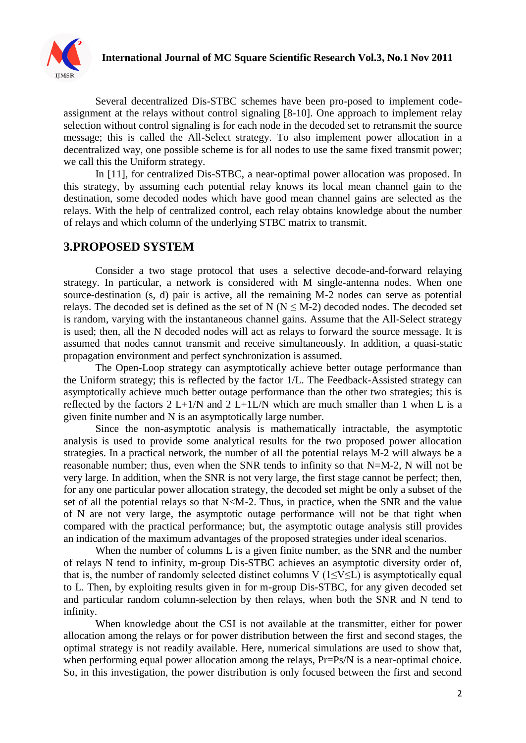

### **International Journal of MC Square Scientific Research Vol.3, No.1 Nov 2011**

Several decentralized Dis-STBC schemes have been pro-posed to implement codeassignment at the relays without control signaling [8-10]. One approach to implement relay selection without control signaling is for each node in the decoded set to retransmit the source message; this is called the All-Select strategy. To also implement power allocation in a decentralized way, one possible scheme is for all nodes to use the same fixed transmit power; we call this the Uniform strategy.

In [11], for centralized Dis-STBC, a near-optimal power allocation was proposed. In this strategy, by assuming each potential relay knows its local mean channel gain to the destination, some decoded nodes which have good mean channel gains are selected as the relays. With the help of centralized control, each relay obtains knowledge about the number of relays and which column of the underlying STBC matrix to transmit.

#### **3.PROPOSED SYSTEM**

Consider a two stage protocol that uses a selective decode-and-forward relaying strategy. In particular, a network is considered with M single-antenna nodes. When one source-destination (s, d) pair is active, all the remaining M-2 nodes can serve as potential relays. The decoded set is defined as the set of N ( $N \le M-2$ ) decoded nodes. The decoded set is random, varying with the instantaneous channel gains. Assume that the All-Select strategy is used; then, all the N decoded nodes will act as relays to forward the source message. It is assumed that nodes cannot transmit and receive simultaneously. In addition, a quasi-static propagation environment and perfect synchronization is assumed.

The Open-Loop strategy can asymptotically achieve better outage performance than the Uniform strategy; this is reflected by the factor 1/L. The Feedback-Assisted strategy can asymptotically achieve much better outage performance than the other two strategies; this is reflected by the factors  $2 L+1/N$  and  $2 L+1LN$  which are much smaller than 1 when L is a given finite number and N is an asymptotically large number.

Since the non-asymptotic analysis is mathematically intractable, the asymptotic analysis is used to provide some analytical results for the two proposed power allocation strategies. In a practical network, the number of all the potential relays M-2 will always be a reasonable number; thus, even when the SNR tends to infinity so that N=M-2, N will not be very large. In addition, when the SNR is not very large, the first stage cannot be perfect; then, for any one particular power allocation strategy, the decoded set might be only a subset of the set of all the potential relays so that N<M-2. Thus, in practice, when the SNR and the value of N are not very large, the asymptotic outage performance will not be that tight when compared with the practical performance; but, the asymptotic outage analysis still provides an indication of the maximum advantages of the proposed strategies under ideal scenarios.

When the number of columns L is a given finite number, as the SNR and the number of relays N tend to infinity, m-group Dis-STBC achieves an asymptotic diversity order of, that is, the number of randomly selected distinct columns V ( $1 \le V \le L$ ) is asymptotically equal to L. Then, by exploiting results given in for m-group Dis-STBC, for any given decoded set and particular random column-selection by then relays, when both the SNR and N tend to infinity.

When knowledge about the CSI is not available at the transmitter, either for power allocation among the relays or for power distribution between the first and second stages, the optimal strategy is not readily available. Here, numerical simulations are used to show that, when performing equal power allocation among the relays, Pr=Ps/N is a near-optimal choice. So, in this investigation, the power distribution is only focused between the first and second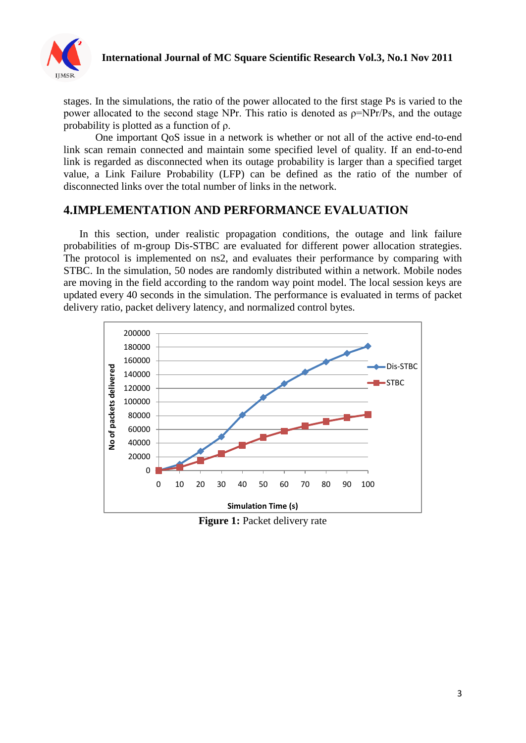

#### **International Journal of MC Square Scientific Research Vol.3, No.1 Nov 2011**

stages. In the simulations, the ratio of the power allocated to the first stage Ps is varied to the power allocated to the second stage NPr. This ratio is denoted as ρ=NPr/Ps, and the outage probability is plotted as a function of ρ.

One important QoS issue in a network is whether or not all of the active end-to-end link scan remain connected and maintain some specified level of quality. If an end-to-end link is regarded as disconnected when its outage probability is larger than a specified target value, a Link Failure Probability (LFP) can be defined as the ratio of the number of disconnected links over the total number of links in the network.

## **4.IMPLEMENTATION AND PERFORMANCE EVALUATION**

In this section, under realistic propagation conditions, the outage and link failure probabilities of m-group Dis-STBC are evaluated for different power allocation strategies. The protocol is implemented on ns2, and evaluates their performance by comparing with STBC. In the simulation, 50 nodes are randomly distributed within a network. Mobile nodes are moving in the field according to the random way point model. The local session keys are updated every 40 seconds in the simulation. The performance is evaluated in terms of packet delivery ratio, packet delivery latency, and normalized control bytes.



**Figure 1: Packet delivery rate**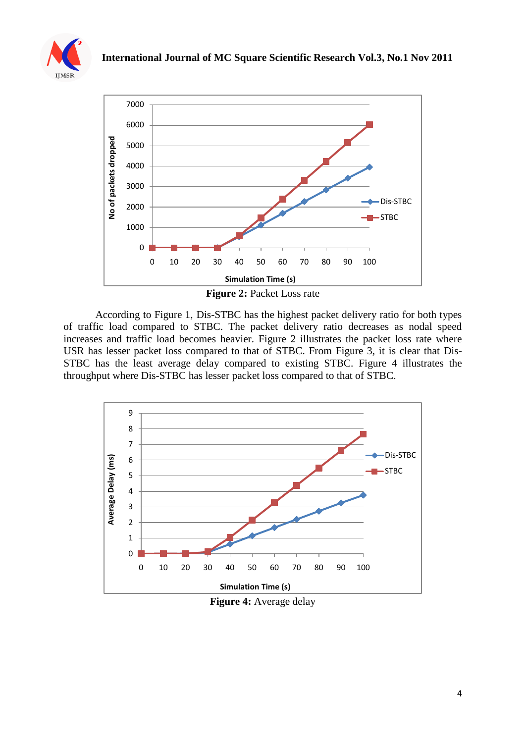





**Figure 2:** Packet Loss rate

According to Figure 1, Dis-STBC has the highest packet delivery ratio for both types of traffic load compared to STBC. The packet delivery ratio decreases as nodal speed increases and traffic load becomes heavier. Figure 2 illustrates the packet loss rate where USR has lesser packet loss compared to that of STBC. From Figure 3, it is clear that Dis-STBC has the least average delay compared to existing STBC. Figure 4 illustrates the throughput where Dis-STBC has lesser packet loss compared to that of STBC.



**Figure 4:** Average delay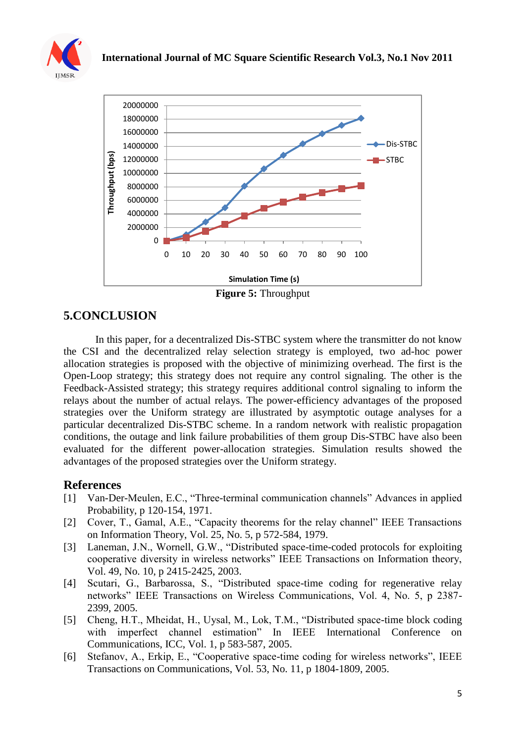



In this paper, for a decentralized Dis-STBC system where the transmitter do not know the CSI and the decentralized relay selection strategy is employed, two ad-hoc power allocation strategies is proposed with the objective of minimizing overhead. The first is the Open-Loop strategy; this strategy does not require any control signaling. The other is the Feedback-Assisted strategy; this strategy requires additional control signaling to inform the relays about the number of actual relays. The power-efficiency advantages of the proposed strategies over the Uniform strategy are illustrated by asymptotic outage analyses for a particular decentralized Dis-STBC scheme. In a random network with realistic propagation

advantages of the proposed strategies over the Uniform strategy.

# **5.CONCLUSION**

**References** [1] Van-Der-Meulen, E.C., "Three-terminal communication channels" Advances in applied

conditions, the outage and link failure probabilities of them group Dis-STBC have also been evaluated for the different power-allocation strategies. Simulation results showed the

- Probability, p 120-154, 1971. [2] Cover, T., Gamal, A.E., "Capacity theorems for the relay channel" IEEE Transactions on Information Theory, Vol. 25, No. 5, p 572-584, 1979.
- [3] Laneman, J.N., Wornell, G.W., "Distributed space-time-coded protocols for exploiting cooperative diversity in wireless networks" IEEE Transactions on Information theory, Vol. 49, No. 10, p 2415-2425, 2003.
- [4] Scutari, G., Barbarossa, S., "Distributed space-time coding for regenerative relay networks" IEEE Transactions on Wireless Communications, Vol. 4, No. 5, p 2387- 2399, 2005.
- [5] Cheng, H.T., Mheidat, H., Uysal, M., Lok, T.M., "Distributed space-time block coding with imperfect channel estimation" In IEEE International Conference on Communications, ICC, Vol. 1, p 583-587, 2005.
- [6] Stefanov, A., Erkip, E., "Cooperative space-time coding for wireless networks", IEEE Transactions on Communications, Vol. 53, No. 11, p 1804-1809, 2005.